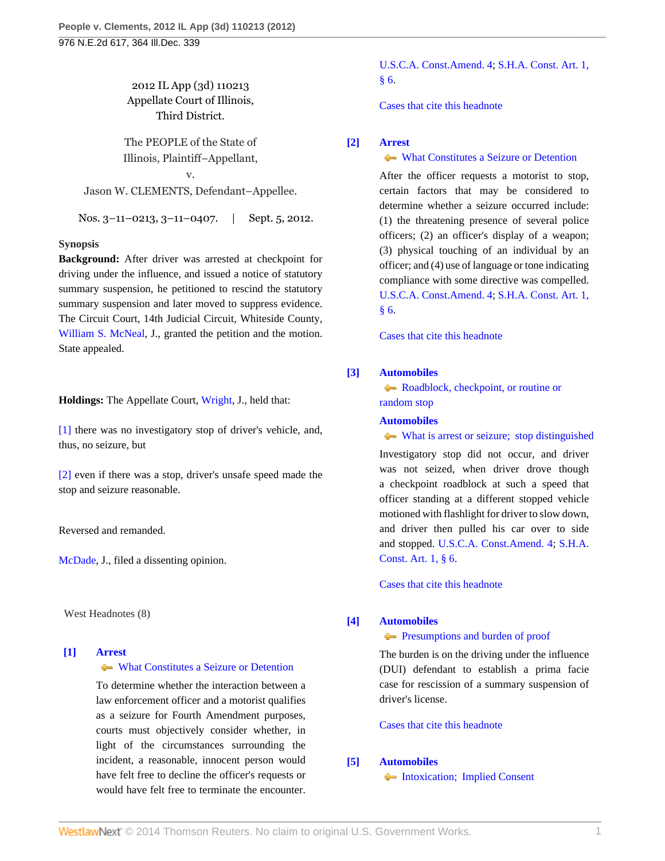2012 IL App (3d) 110213 Appellate Court of Illinois, Third District.

The PEOPLE of the State of Illinois, Plaintiff–Appellant,

v. Jason W. CLEMENTS, Defendant–Appellee.

Nos. 3–11–0213, 3–11–0407. | Sept. 5, 2012.

#### **Synopsis**

**Background:** After driver was arrested at checkpoint for driving under the influence, and issued a notice of statutory summary suspension, he petitioned to rescind the statutory summary suspension and later moved to suppress evidence. The Circuit Court, 14th Judicial Circuit, Whiteside County, [William S. McNeal](http://www.westlaw.com/Link/Document/FullText?findType=h&pubNum=176284&cite=0163648801&originatingDoc=I8e5550aef79111e1b66bbd5332e2d275&refType=RQ&originationContext=document&vr=3.0&rs=cblt1.0&transitionType=DocumentItem&contextData=(sc.Search)), J., granted the petition and the motion. State appealed.

**Holdings:** The Appellate Court, [Wright,](http://www.westlaw.com/Link/Document/FullText?findType=h&pubNum=176284&cite=0139707701&originatingDoc=I8e5550aef79111e1b66bbd5332e2d275&refType=RQ&originationContext=document&vr=3.0&rs=cblt1.0&transitionType=DocumentItem&contextData=(sc.Search)) J., held that:

[\[1\]](#page-0-0) there was no investigatory stop of driver's vehicle, and, thus, no seizure, but

[\[2\]](#page-0-1) even if there was a stop, driver's unsafe speed made the stop and seizure reasonable.

Reversed and remanded.

[McDade](http://www.westlaw.com/Link/Document/FullText?findType=h&pubNum=176284&cite=0196972601&originatingDoc=I8e5550aef79111e1b66bbd5332e2d275&refType=RQ&originationContext=document&vr=3.0&rs=cblt1.0&transitionType=DocumentItem&contextData=(sc.Search)), J., filed a dissenting opinion.

West Headnotes (8)

## <span id="page-0-2"></span>**[\[1\]](#page-3-0) [Arrest](http://www.westlaw.com/Browse/Home/KeyNumber/35/View.html?docGuid=I8e5550aef79111e1b66bbd5332e2d275&originationContext=document&vr=3.0&rs=cblt1.0&transitionType=DocumentItem&contextData=(sc.Search))**

[What Constitutes a Seizure or Detention](http://www.westlaw.com/Browse/Home/KeyNumber/35k60.4/View.html?docGuid=I8e5550aef79111e1b66bbd5332e2d275&originationContext=document&vr=3.0&rs=cblt1.0&transitionType=DocumentItem&contextData=(sc.Search))

To determine whether the interaction between a law enforcement officer and a motorist qualifies as a seizure for Fourth Amendment purposes, courts must objectively consider whether, in light of the circumstances surrounding the incident, a reasonable, innocent person would have felt free to decline the officer's requests or would have felt free to terminate the encounter.

[U.S.C.A. Const.Amend. 4;](http://www.westlaw.com/Link/Document/FullText?findType=L&pubNum=1000546&cite=USCOAMENDIV&originatingDoc=I8e5550aef79111e1b66bbd5332e2d275&refType=LQ&originationContext=document&vr=3.0&rs=cblt1.0&transitionType=DocumentItem&contextData=(sc.Search)) [S.H.A. Const. Art. 1,](http://www.westlaw.com/Link/Document/FullText?findType=L&pubNum=1000008&cite=ILCNART1S6&originatingDoc=I8e5550aef79111e1b66bbd5332e2d275&refType=LQ&originationContext=document&vr=3.0&rs=cblt1.0&transitionType=DocumentItem&contextData=(sc.Search)) [§ 6](http://www.westlaw.com/Link/Document/FullText?findType=L&pubNum=1000008&cite=ILCNART1S6&originatingDoc=I8e5550aef79111e1b66bbd5332e2d275&refType=LQ&originationContext=document&vr=3.0&rs=cblt1.0&transitionType=DocumentItem&contextData=(sc.Search)).

[Cases that cite this headnote](http://www.westlaw.com/Link/RelatedInformation/DocHeadnoteLink?docGuid=I8e5550aef79111e1b66bbd5332e2d275&headnoteId=202854526600120130210184448&originationContext=document&vr=3.0&rs=cblt1.0&transitionType=CitingReferences&contextData=(sc.Search))

# <span id="page-0-3"></span>**[\[2\]](#page-3-1) [Arrest](http://www.westlaw.com/Browse/Home/KeyNumber/35/View.html?docGuid=I8e5550aef79111e1b66bbd5332e2d275&originationContext=document&vr=3.0&rs=cblt1.0&transitionType=DocumentItem&contextData=(sc.Search))**

#### [What Constitutes a Seizure or Detention](http://www.westlaw.com/Browse/Home/KeyNumber/35k60.4/View.html?docGuid=I8e5550aef79111e1b66bbd5332e2d275&originationContext=document&vr=3.0&rs=cblt1.0&transitionType=DocumentItem&contextData=(sc.Search))

After the officer requests a motorist to stop, certain factors that may be considered to determine whether a seizure occurred include: (1) the threatening presence of several police officers; (2) an officer's display of a weapon; (3) physical touching of an individual by an officer; and (4) use of language or tone indicating compliance with some directive was compelled. [U.S.C.A. Const.Amend. 4;](http://www.westlaw.com/Link/Document/FullText?findType=L&pubNum=1000546&cite=USCOAMENDIV&originatingDoc=I8e5550aef79111e1b66bbd5332e2d275&refType=LQ&originationContext=document&vr=3.0&rs=cblt1.0&transitionType=DocumentItem&contextData=(sc.Search)) [S.H.A. Const. Art. 1,](http://www.westlaw.com/Link/Document/FullText?findType=L&pubNum=1000008&cite=ILCNART1S6&originatingDoc=I8e5550aef79111e1b66bbd5332e2d275&refType=LQ&originationContext=document&vr=3.0&rs=cblt1.0&transitionType=DocumentItem&contextData=(sc.Search)) [§ 6](http://www.westlaw.com/Link/Document/FullText?findType=L&pubNum=1000008&cite=ILCNART1S6&originatingDoc=I8e5550aef79111e1b66bbd5332e2d275&refType=LQ&originationContext=document&vr=3.0&rs=cblt1.0&transitionType=DocumentItem&contextData=(sc.Search)).

[Cases that cite this headnote](http://www.westlaw.com/Link/RelatedInformation/DocHeadnoteLink?docGuid=I8e5550aef79111e1b66bbd5332e2d275&headnoteId=202854526600220130210184448&originationContext=document&vr=3.0&rs=cblt1.0&transitionType=CitingReferences&contextData=(sc.Search))

#### <span id="page-0-0"></span>**[\[3\]](#page-3-2) [Automobiles](http://www.westlaw.com/Browse/Home/KeyNumber/48A/View.html?docGuid=I8e5550aef79111e1b66bbd5332e2d275&originationContext=document&vr=3.0&rs=cblt1.0&transitionType=DocumentItem&contextData=(sc.Search))**

[Roadblock, checkpoint, or routine or](http://www.westlaw.com/Browse/Home/KeyNumber/48Ak349(9)/View.html?docGuid=I8e5550aef79111e1b66bbd5332e2d275&originationContext=document&vr=3.0&rs=cblt1.0&transitionType=DocumentItem&contextData=(sc.Search)) [random stop](http://www.westlaw.com/Browse/Home/KeyNumber/48Ak349(9)/View.html?docGuid=I8e5550aef79111e1b66bbd5332e2d275&originationContext=document&vr=3.0&rs=cblt1.0&transitionType=DocumentItem&contextData=(sc.Search))

#### **[Automobiles](http://www.westlaw.com/Browse/Home/KeyNumber/48A/View.html?docGuid=I8e5550aef79111e1b66bbd5332e2d275&originationContext=document&vr=3.0&rs=cblt1.0&transitionType=DocumentItem&contextData=(sc.Search))**

[What is arrest or seizure; stop distinguished](http://www.westlaw.com/Browse/Home/KeyNumber/48Ak349(10)/View.html?docGuid=I8e5550aef79111e1b66bbd5332e2d275&originationContext=document&vr=3.0&rs=cblt1.0&transitionType=DocumentItem&contextData=(sc.Search)) Investigatory stop did not occur, and driver was not seized, when driver drove though a checkpoint roadblock at such a speed that officer standing at a different stopped vehicle motioned with flashlight for driver to slow down, and driver then pulled his car over to side and stopped. [U.S.C.A. Const.Amend. 4](http://www.westlaw.com/Link/Document/FullText?findType=L&pubNum=1000546&cite=USCOAMENDIV&originatingDoc=I8e5550aef79111e1b66bbd5332e2d275&refType=LQ&originationContext=document&vr=3.0&rs=cblt1.0&transitionType=DocumentItem&contextData=(sc.Search)); [S.H.A.](http://www.westlaw.com/Link/Document/FullText?findType=L&pubNum=1000008&cite=ILCNART1S6&originatingDoc=I8e5550aef79111e1b66bbd5332e2d275&refType=LQ&originationContext=document&vr=3.0&rs=cblt1.0&transitionType=DocumentItem&contextData=(sc.Search)) [Const. Art. 1, § 6.](http://www.westlaw.com/Link/Document/FullText?findType=L&pubNum=1000008&cite=ILCNART1S6&originatingDoc=I8e5550aef79111e1b66bbd5332e2d275&refType=LQ&originationContext=document&vr=3.0&rs=cblt1.0&transitionType=DocumentItem&contextData=(sc.Search))

[Cases that cite this headnote](http://www.westlaw.com/Link/RelatedInformation/DocHeadnoteLink?docGuid=I8e5550aef79111e1b66bbd5332e2d275&headnoteId=202854526600320130210184448&originationContext=document&vr=3.0&rs=cblt1.0&transitionType=CitingReferences&contextData=(sc.Search))

#### <span id="page-0-4"></span>**[\[4\]](#page-3-3) [Automobiles](http://www.westlaw.com/Browse/Home/KeyNumber/48A/View.html?docGuid=I8e5550aef79111e1b66bbd5332e2d275&originationContext=document&vr=3.0&rs=cblt1.0&transitionType=DocumentItem&contextData=(sc.Search))**

**[Presumptions and burden of proof](http://www.westlaw.com/Browse/Home/KeyNumber/48Ak144.2(9.6)/View.html?docGuid=I8e5550aef79111e1b66bbd5332e2d275&originationContext=document&vr=3.0&rs=cblt1.0&transitionType=DocumentItem&contextData=(sc.Search))** 

The burden is on the driving under the influence (DUI) defendant to establish a prima facie case for rescission of a summary suspension of driver's license.

[Cases that cite this headnote](http://www.westlaw.com/Link/RelatedInformation/DocHeadnoteLink?docGuid=I8e5550aef79111e1b66bbd5332e2d275&headnoteId=202854526600420130210184448&originationContext=document&vr=3.0&rs=cblt1.0&transitionType=CitingReferences&contextData=(sc.Search))

### <span id="page-0-1"></span>**[\[5\]](#page-4-0) [Automobiles](http://www.westlaw.com/Browse/Home/KeyNumber/48A/View.html?docGuid=I8e5550aef79111e1b66bbd5332e2d275&originationContext=document&vr=3.0&rs=cblt1.0&transitionType=DocumentItem&contextData=(sc.Search))**

[Intoxication; Implied Consent](http://www.westlaw.com/Browse/Home/KeyNumber/48Ak144.1(1.10)/View.html?docGuid=I8e5550aef79111e1b66bbd5332e2d275&originationContext=document&vr=3.0&rs=cblt1.0&transitionType=DocumentItem&contextData=(sc.Search))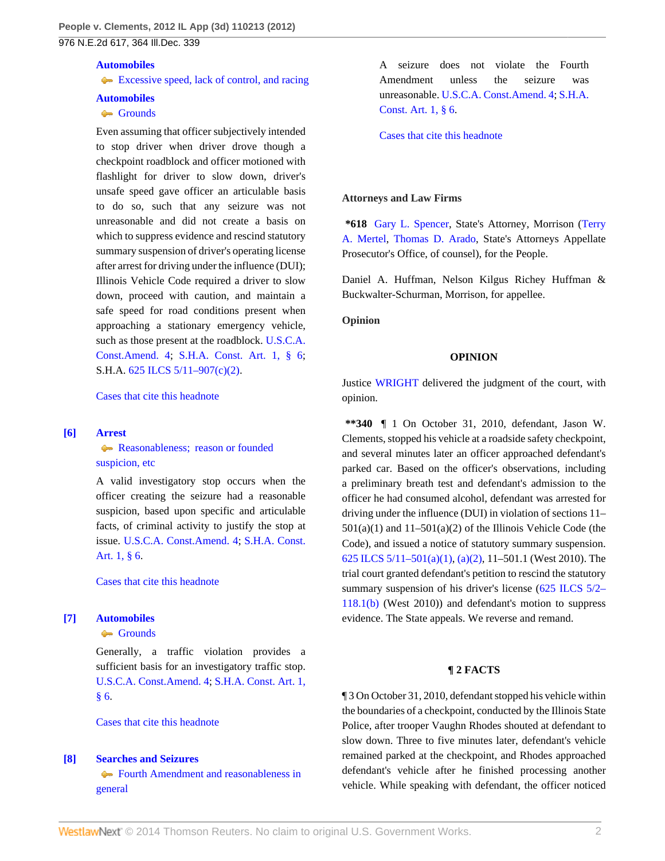976 N.E.2d 617, 364 Ill.Dec. 339

# **[Automobiles](http://www.westlaw.com/Browse/Home/KeyNumber/48A/View.html?docGuid=I8e5550aef79111e1b66bbd5332e2d275&originationContext=document&vr=3.0&rs=cblt1.0&transitionType=DocumentItem&contextData=(sc.Search))**

[Excessive speed, lack of control, and racing](http://www.westlaw.com/Browse/Home/KeyNumber/48Ak331/View.html?docGuid=I8e5550aef79111e1b66bbd5332e2d275&originationContext=document&vr=3.0&rs=cblt1.0&transitionType=DocumentItem&contextData=(sc.Search))

## **[Automobiles](http://www.westlaw.com/Browse/Home/KeyNumber/48A/View.html?docGuid=I8e5550aef79111e1b66bbd5332e2d275&originationContext=document&vr=3.0&rs=cblt1.0&transitionType=DocumentItem&contextData=(sc.Search))**

# [Grounds](http://www.westlaw.com/Browse/Home/KeyNumber/48Ak349(2)/View.html?docGuid=I8e5550aef79111e1b66bbd5332e2d275&originationContext=document&vr=3.0&rs=cblt1.0&transitionType=DocumentItem&contextData=(sc.Search))

Even assuming that officer subjectively intended to stop driver when driver drove though a checkpoint roadblock and officer motioned with flashlight for driver to slow down, driver's unsafe speed gave officer an articulable basis to do so, such that any seizure was not unreasonable and did not create a basis on which to suppress evidence and rescind statutory summary suspension of driver's operating license after arrest for driving under the influence (DUI); Illinois Vehicle Code required a driver to slow down, proceed with caution, and maintain a safe speed for road conditions present when approaching a stationary emergency vehicle, such as those present at the roadblock. [U.S.C.A.](http://www.westlaw.com/Link/Document/FullText?findType=L&pubNum=1000546&cite=USCOAMENDIV&originatingDoc=I8e5550aef79111e1b66bbd5332e2d275&refType=LQ&originationContext=document&vr=3.0&rs=cblt1.0&transitionType=DocumentItem&contextData=(sc.Search)) [Const.Amend. 4;](http://www.westlaw.com/Link/Document/FullText?findType=L&pubNum=1000546&cite=USCOAMENDIV&originatingDoc=I8e5550aef79111e1b66bbd5332e2d275&refType=LQ&originationContext=document&vr=3.0&rs=cblt1.0&transitionType=DocumentItem&contextData=(sc.Search)) [S.H.A. Const. Art. 1, § 6;](http://www.westlaw.com/Link/Document/FullText?findType=L&pubNum=1000008&cite=ILCNART1S6&originatingDoc=I8e5550aef79111e1b66bbd5332e2d275&refType=LQ&originationContext=document&vr=3.0&rs=cblt1.0&transitionType=DocumentItem&contextData=(sc.Search)) S.H.A. [625 ILCS 5/11–907\(c\)\(2\).](http://www.westlaw.com/Link/Document/FullText?findType=L&pubNum=1000008&cite=IL625S5%2f11-907&originatingDoc=I8e5550aef79111e1b66bbd5332e2d275&refType=SP&originationContext=document&vr=3.0&rs=cblt1.0&transitionType=DocumentItem&contextData=(sc.Search)#co_pp_fcf30000ea9c4)

[Cases that cite this headnote](http://www.westlaw.com/Link/RelatedInformation/DocHeadnoteLink?docGuid=I8e5550aef79111e1b66bbd5332e2d275&headnoteId=202854526600520130210184448&originationContext=document&vr=3.0&rs=cblt1.0&transitionType=CitingReferences&contextData=(sc.Search))

# <span id="page-1-0"></span>**[\[6\]](#page-4-1) [Arrest](http://www.westlaw.com/Browse/Home/KeyNumber/35/View.html?docGuid=I8e5550aef79111e1b66bbd5332e2d275&originationContext=document&vr=3.0&rs=cblt1.0&transitionType=DocumentItem&contextData=(sc.Search))**

# [Reasonableness; reason or founded](http://www.westlaw.com/Browse/Home/KeyNumber/35k60.2(10)/View.html?docGuid=I8e5550aef79111e1b66bbd5332e2d275&originationContext=document&vr=3.0&rs=cblt1.0&transitionType=DocumentItem&contextData=(sc.Search)) [suspicion, etc](http://www.westlaw.com/Browse/Home/KeyNumber/35k60.2(10)/View.html?docGuid=I8e5550aef79111e1b66bbd5332e2d275&originationContext=document&vr=3.0&rs=cblt1.0&transitionType=DocumentItem&contextData=(sc.Search))

A valid investigatory stop occurs when the officer creating the seizure had a reasonable suspicion, based upon specific and articulable facts, of criminal activity to justify the stop at issue. [U.S.C.A. Const.Amend. 4](http://www.westlaw.com/Link/Document/FullText?findType=L&pubNum=1000546&cite=USCOAMENDIV&originatingDoc=I8e5550aef79111e1b66bbd5332e2d275&refType=LQ&originationContext=document&vr=3.0&rs=cblt1.0&transitionType=DocumentItem&contextData=(sc.Search)); [S.H.A. Const.](http://www.westlaw.com/Link/Document/FullText?findType=L&pubNum=1000008&cite=ILCNART1S6&originatingDoc=I8e5550aef79111e1b66bbd5332e2d275&refType=LQ&originationContext=document&vr=3.0&rs=cblt1.0&transitionType=DocumentItem&contextData=(sc.Search)) [Art. 1, § 6](http://www.westlaw.com/Link/Document/FullText?findType=L&pubNum=1000008&cite=ILCNART1S6&originatingDoc=I8e5550aef79111e1b66bbd5332e2d275&refType=LQ&originationContext=document&vr=3.0&rs=cblt1.0&transitionType=DocumentItem&contextData=(sc.Search)).

[Cases that cite this headnote](http://www.westlaw.com/Link/RelatedInformation/DocHeadnoteLink?docGuid=I8e5550aef79111e1b66bbd5332e2d275&headnoteId=202854526600620130210184448&originationContext=document&vr=3.0&rs=cblt1.0&transitionType=CitingReferences&contextData=(sc.Search))

# <span id="page-1-1"></span>**[\[7\]](#page-4-2) [Automobiles](http://www.westlaw.com/Browse/Home/KeyNumber/48A/View.html?docGuid=I8e5550aef79111e1b66bbd5332e2d275&originationContext=document&vr=3.0&rs=cblt1.0&transitionType=DocumentItem&contextData=(sc.Search))**

### [Grounds](http://www.westlaw.com/Browse/Home/KeyNumber/48Ak349(2)/View.html?docGuid=I8e5550aef79111e1b66bbd5332e2d275&originationContext=document&vr=3.0&rs=cblt1.0&transitionType=DocumentItem&contextData=(sc.Search))

Generally, a traffic violation provides a sufficient basis for an investigatory traffic stop. [U.S.C.A. Const.Amend. 4;](http://www.westlaw.com/Link/Document/FullText?findType=L&pubNum=1000546&cite=USCOAMENDIV&originatingDoc=I8e5550aef79111e1b66bbd5332e2d275&refType=LQ&originationContext=document&vr=3.0&rs=cblt1.0&transitionType=DocumentItem&contextData=(sc.Search)) [S.H.A. Const. Art. 1,](http://www.westlaw.com/Link/Document/FullText?findType=L&pubNum=1000008&cite=ILCNART1S6&originatingDoc=I8e5550aef79111e1b66bbd5332e2d275&refType=LQ&originationContext=document&vr=3.0&rs=cblt1.0&transitionType=DocumentItem&contextData=(sc.Search)) [§ 6](http://www.westlaw.com/Link/Document/FullText?findType=L&pubNum=1000008&cite=ILCNART1S6&originatingDoc=I8e5550aef79111e1b66bbd5332e2d275&refType=LQ&originationContext=document&vr=3.0&rs=cblt1.0&transitionType=DocumentItem&contextData=(sc.Search)).

[Cases that cite this headnote](http://www.westlaw.com/Link/RelatedInformation/DocHeadnoteLink?docGuid=I8e5550aef79111e1b66bbd5332e2d275&headnoteId=202854526600720130210184448&originationContext=document&vr=3.0&rs=cblt1.0&transitionType=CitingReferences&contextData=(sc.Search))

# <span id="page-1-2"></span>**[\[8\]](#page-4-3) [Searches and Seizures](http://www.westlaw.com/Browse/Home/KeyNumber/349/View.html?docGuid=I8e5550aef79111e1b66bbd5332e2d275&originationContext=document&vr=3.0&rs=cblt1.0&transitionType=DocumentItem&contextData=(sc.Search))**

[Fourth Amendment and reasonableness in](http://www.westlaw.com/Browse/Home/KeyNumber/349k23/View.html?docGuid=I8e5550aef79111e1b66bbd5332e2d275&originationContext=document&vr=3.0&rs=cblt1.0&transitionType=DocumentItem&contextData=(sc.Search)) [general](http://www.westlaw.com/Browse/Home/KeyNumber/349k23/View.html?docGuid=I8e5550aef79111e1b66bbd5332e2d275&originationContext=document&vr=3.0&rs=cblt1.0&transitionType=DocumentItem&contextData=(sc.Search))

A seizure does not violate the Fourth Amendment unless the seizure was unreasonable. [U.S.C.A. Const.Amend. 4](http://www.westlaw.com/Link/Document/FullText?findType=L&pubNum=1000546&cite=USCOAMENDIV&originatingDoc=I8e5550aef79111e1b66bbd5332e2d275&refType=LQ&originationContext=document&vr=3.0&rs=cblt1.0&transitionType=DocumentItem&contextData=(sc.Search)); [S.H.A.](http://www.westlaw.com/Link/Document/FullText?findType=L&pubNum=1000008&cite=ILCNART1S6&originatingDoc=I8e5550aef79111e1b66bbd5332e2d275&refType=LQ&originationContext=document&vr=3.0&rs=cblt1.0&transitionType=DocumentItem&contextData=(sc.Search)) [Const. Art. 1, § 6.](http://www.westlaw.com/Link/Document/FullText?findType=L&pubNum=1000008&cite=ILCNART1S6&originatingDoc=I8e5550aef79111e1b66bbd5332e2d275&refType=LQ&originationContext=document&vr=3.0&rs=cblt1.0&transitionType=DocumentItem&contextData=(sc.Search))

[Cases that cite this headnote](http://www.westlaw.com/Link/RelatedInformation/DocHeadnoteLink?docGuid=I8e5550aef79111e1b66bbd5332e2d275&headnoteId=202854526600820130210184448&originationContext=document&vr=3.0&rs=cblt1.0&transitionType=CitingReferences&contextData=(sc.Search))

## **Attorneys and Law Firms**

**\*618** [Gary L. Spencer](http://www.westlaw.com/Link/Document/FullText?findType=h&pubNum=176284&cite=0205983301&originatingDoc=I8e5550aef79111e1b66bbd5332e2d275&refType=RQ&originationContext=document&vr=3.0&rs=cblt1.0&transitionType=DocumentItem&contextData=(sc.Search)), State's Attorney, Morrison ([Terry](http://www.westlaw.com/Link/Document/FullText?findType=h&pubNum=176284&cite=0221901701&originatingDoc=I8e5550aef79111e1b66bbd5332e2d275&refType=RQ&originationContext=document&vr=3.0&rs=cblt1.0&transitionType=DocumentItem&contextData=(sc.Search)) [A. Mertel,](http://www.westlaw.com/Link/Document/FullText?findType=h&pubNum=176284&cite=0221901701&originatingDoc=I8e5550aef79111e1b66bbd5332e2d275&refType=RQ&originationContext=document&vr=3.0&rs=cblt1.0&transitionType=DocumentItem&contextData=(sc.Search)) [Thomas D. Arado](http://www.westlaw.com/Link/Document/FullText?findType=h&pubNum=176284&cite=0338387801&originatingDoc=I8e5550aef79111e1b66bbd5332e2d275&refType=RQ&originationContext=document&vr=3.0&rs=cblt1.0&transitionType=DocumentItem&contextData=(sc.Search)), State's Attorneys Appellate Prosecutor's Office, of counsel), for the People.

Daniel A. Huffman, Nelson Kilgus Richey Huffman & Buckwalter-Schurman, Morrison, for appellee.

**Opinion**

#### **OPINION**

Justice [WRIGHT](http://www.westlaw.com/Link/Document/FullText?findType=h&pubNum=176284&cite=0139707701&originatingDoc=I8e5550aef79111e1b66bbd5332e2d275&refType=RQ&originationContext=document&vr=3.0&rs=cblt1.0&transitionType=DocumentItem&contextData=(sc.Search)) delivered the judgment of the court, with opinion.

**\*\*340** ¶ 1 On October 31, 2010, defendant, Jason W. Clements, stopped his vehicle at a roadside safety checkpoint, and several minutes later an officer approached defendant's parked car. Based on the officer's observations, including a preliminary breath test and defendant's admission to the officer he had consumed alcohol, defendant was arrested for driving under the influence (DUI) in violation of sections 11–  $501(a)(1)$  and  $11-501(a)(2)$  of the Illinois Vehicle Code (the Code), and issued a notice of statutory summary suspension. [625 ILCS 5/11–501\(a\)\(1\),](http://www.westlaw.com/Link/Document/FullText?findType=L&pubNum=1000008&cite=IL625S5%2f11-501&originatingDoc=I8e5550aef79111e1b66bbd5332e2d275&refType=SP&originationContext=document&vr=3.0&rs=cblt1.0&transitionType=DocumentItem&contextData=(sc.Search)#co_pp_7b9b000044381) [\(a\)\(2\)](http://www.westlaw.com/Link/Document/FullText?findType=L&pubNum=1000008&cite=IL625S5%2f11-501&originatingDoc=I8e5550aef79111e1b66bbd5332e2d275&refType=SP&originationContext=document&vr=3.0&rs=cblt1.0&transitionType=DocumentItem&contextData=(sc.Search)#co_pp_d86d0000be040), 11–501.1 (West 2010). The trial court granted defendant's petition to rescind the statutory summary suspension of his driver's license ([625 ILCS 5/2–](http://www.westlaw.com/Link/Document/FullText?findType=L&pubNum=1000008&cite=IL625S5%2f2-118.1&originatingDoc=I8e5550aef79111e1b66bbd5332e2d275&refType=SP&originationContext=document&vr=3.0&rs=cblt1.0&transitionType=DocumentItem&contextData=(sc.Search)#co_pp_a83b000018c76) [118.1\(b\)](http://www.westlaw.com/Link/Document/FullText?findType=L&pubNum=1000008&cite=IL625S5%2f2-118.1&originatingDoc=I8e5550aef79111e1b66bbd5332e2d275&refType=SP&originationContext=document&vr=3.0&rs=cblt1.0&transitionType=DocumentItem&contextData=(sc.Search)#co_pp_a83b000018c76) (West 2010)) and defendant's motion to suppress evidence. The State appeals. We reverse and remand.

### **¶ 2 FACTS**

¶ 3 On October 31, 2010, defendant stopped his vehicle within the boundaries of a checkpoint, conducted by the Illinois State Police, after trooper Vaughn Rhodes shouted at defendant to slow down. Three to five minutes later, defendant's vehicle remained parked at the checkpoint, and Rhodes approached defendant's vehicle after he finished processing another vehicle. While speaking with defendant, the officer noticed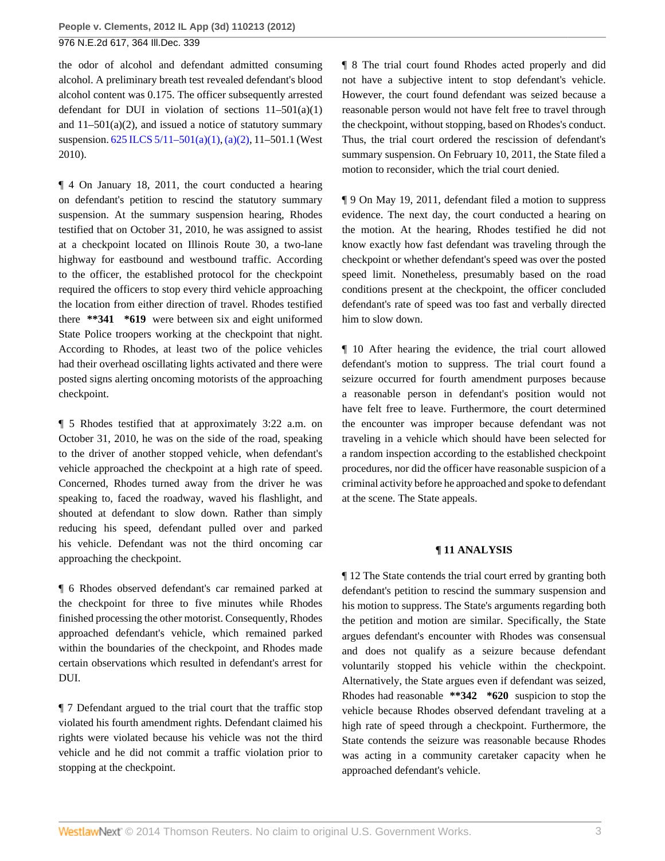the odor of alcohol and defendant admitted consuming alcohol. A preliminary breath test revealed defendant's blood alcohol content was 0.175. The officer subsequently arrested defendant for DUI in violation of sections  $11-501(a)(1)$ and  $11-501(a)(2)$ , and issued a notice of statutory summary suspension. [625 ILCS 5/11–501\(a\)\(1\),](http://www.westlaw.com/Link/Document/FullText?findType=L&pubNum=1000008&cite=IL625S5%2f11-501&originatingDoc=I8e5550aef79111e1b66bbd5332e2d275&refType=SP&originationContext=document&vr=3.0&rs=cblt1.0&transitionType=DocumentItem&contextData=(sc.Search)#co_pp_7b9b000044381) [\(a\)\(2\),](http://www.westlaw.com/Link/Document/FullText?findType=L&pubNum=1000008&cite=IL625S5%2f11-501&originatingDoc=I8e5550aef79111e1b66bbd5332e2d275&refType=SP&originationContext=document&vr=3.0&rs=cblt1.0&transitionType=DocumentItem&contextData=(sc.Search)#co_pp_d86d0000be040) 11–501.1 (West 2010).

¶ 4 On January 18, 2011, the court conducted a hearing on defendant's petition to rescind the statutory summary suspension. At the summary suspension hearing, Rhodes testified that on October 31, 2010, he was assigned to assist at a checkpoint located on Illinois Route 30, a two-lane highway for eastbound and westbound traffic. According to the officer, the established protocol for the checkpoint required the officers to stop every third vehicle approaching the location from either direction of travel. Rhodes testified there **\*\*341 \*619** were between six and eight uniformed State Police troopers working at the checkpoint that night. According to Rhodes, at least two of the police vehicles had their overhead oscillating lights activated and there were posted signs alerting oncoming motorists of the approaching checkpoint.

¶ 5 Rhodes testified that at approximately 3:22 a.m. on October 31, 2010, he was on the side of the road, speaking to the driver of another stopped vehicle, when defendant's vehicle approached the checkpoint at a high rate of speed. Concerned, Rhodes turned away from the driver he was speaking to, faced the roadway, waved his flashlight, and shouted at defendant to slow down. Rather than simply reducing his speed, defendant pulled over and parked his vehicle. Defendant was not the third oncoming car approaching the checkpoint.

¶ 6 Rhodes observed defendant's car remained parked at the checkpoint for three to five minutes while Rhodes finished processing the other motorist. Consequently, Rhodes approached defendant's vehicle, which remained parked within the boundaries of the checkpoint, and Rhodes made certain observations which resulted in defendant's arrest for DUI.

¶ 7 Defendant argued to the trial court that the traffic stop violated his fourth amendment rights. Defendant claimed his rights were violated because his vehicle was not the third vehicle and he did not commit a traffic violation prior to stopping at the checkpoint.

¶ 8 The trial court found Rhodes acted properly and did not have a subjective intent to stop defendant's vehicle. However, the court found defendant was seized because a reasonable person would not have felt free to travel through the checkpoint, without stopping, based on Rhodes's conduct. Thus, the trial court ordered the rescission of defendant's summary suspension. On February 10, 2011, the State filed a motion to reconsider, which the trial court denied.

¶ 9 On May 19, 2011, defendant filed a motion to suppress evidence. The next day, the court conducted a hearing on the motion. At the hearing, Rhodes testified he did not know exactly how fast defendant was traveling through the checkpoint or whether defendant's speed was over the posted speed limit. Nonetheless, presumably based on the road conditions present at the checkpoint, the officer concluded defendant's rate of speed was too fast and verbally directed him to slow down.

¶ 10 After hearing the evidence, the trial court allowed defendant's motion to suppress. The trial court found a seizure occurred for fourth amendment purposes because a reasonable person in defendant's position would not have felt free to leave. Furthermore, the court determined the encounter was improper because defendant was not traveling in a vehicle which should have been selected for a random inspection according to the established checkpoint procedures, nor did the officer have reasonable suspicion of a criminal activity before he approached and spoke to defendant at the scene. The State appeals.

#### **¶ 11 ANALYSIS**

¶ 12 The State contends the trial court erred by granting both defendant's petition to rescind the summary suspension and his motion to suppress. The State's arguments regarding both the petition and motion are similar. Specifically, the State argues defendant's encounter with Rhodes was consensual and does not qualify as a seizure because defendant voluntarily stopped his vehicle within the checkpoint. Alternatively, the State argues even if defendant was seized, Rhodes had reasonable **\*\*342 \*620** suspicion to stop the vehicle because Rhodes observed defendant traveling at a high rate of speed through a checkpoint. Furthermore, the State contends the seizure was reasonable because Rhodes was acting in a community caretaker capacity when he approached defendant's vehicle.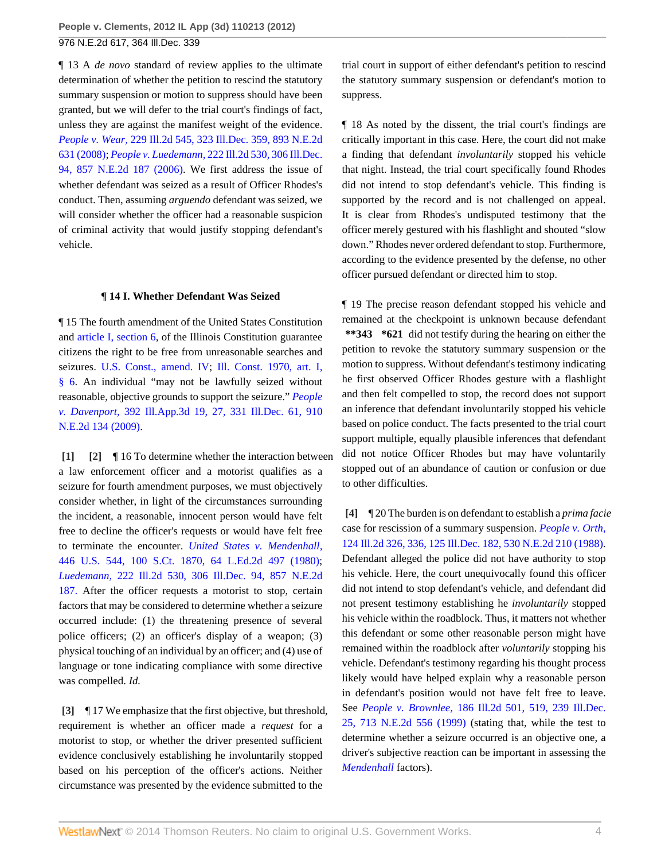¶ 13 A *de novo* standard of review applies to the ultimate determination of whether the petition to rescind the statutory summary suspension or motion to suppress should have been granted, but we will defer to the trial court's findings of fact, unless they are against the manifest weight of the evidence. *People v. Wear,* [229 Ill.2d 545, 323 Ill.Dec. 359, 893 N.E.2d](http://www.westlaw.com/Link/Document/FullText?findType=Y&serNum=2016597332&pubNum=578&originationContext=document&vr=3.0&rs=cblt1.0&transitionType=DocumentItem&contextData=(sc.Search)) [631 \(2008\)](http://www.westlaw.com/Link/Document/FullText?findType=Y&serNum=2016597332&pubNum=578&originationContext=document&vr=3.0&rs=cblt1.0&transitionType=DocumentItem&contextData=(sc.Search)); *People v. Luedemann,* [222 Ill.2d 530, 306 Ill.Dec.](http://www.westlaw.com/Link/Document/FullText?findType=Y&serNum=2010406877&pubNum=578&originationContext=document&vr=3.0&rs=cblt1.0&transitionType=DocumentItem&contextData=(sc.Search)) [94, 857 N.E.2d 187 \(2006\)](http://www.westlaw.com/Link/Document/FullText?findType=Y&serNum=2010406877&pubNum=578&originationContext=document&vr=3.0&rs=cblt1.0&transitionType=DocumentItem&contextData=(sc.Search)). We first address the issue of whether defendant was seized as a result of Officer Rhodes's conduct. Then, assuming *arguendo* defendant was seized, we will consider whether the officer had a reasonable suspicion of criminal activity that would justify stopping defendant's vehicle.

#### **¶ 14 I. Whether Defendant Was Seized**

¶ 15 The fourth amendment of the United States Constitution and [article I, section 6,](http://www.westlaw.com/Link/Document/FullText?findType=L&pubNum=1000008&cite=ILCNART1S6&originatingDoc=I8e5550aef79111e1b66bbd5332e2d275&refType=LQ&originationContext=document&vr=3.0&rs=cblt1.0&transitionType=DocumentItem&contextData=(sc.Search)) of the Illinois Constitution guarantee citizens the right to be free from unreasonable searches and seizures. [U.S. Const., amend. IV;](http://www.westlaw.com/Link/Document/FullText?findType=L&pubNum=1000546&cite=USCOAMENDIV&originatingDoc=I8e5550aef79111e1b66bbd5332e2d275&refType=LQ&originationContext=document&vr=3.0&rs=cblt1.0&transitionType=DocumentItem&contextData=(sc.Search)) [Ill. Const. 1970, art. I,](http://www.westlaw.com/Link/Document/FullText?findType=L&pubNum=1000008&cite=ILCNART1S6&originatingDoc=I8e5550aef79111e1b66bbd5332e2d275&refType=LQ&originationContext=document&vr=3.0&rs=cblt1.0&transitionType=DocumentItem&contextData=(sc.Search)) [§ 6.](http://www.westlaw.com/Link/Document/FullText?findType=L&pubNum=1000008&cite=ILCNART1S6&originatingDoc=I8e5550aef79111e1b66bbd5332e2d275&refType=LQ&originationContext=document&vr=3.0&rs=cblt1.0&transitionType=DocumentItem&contextData=(sc.Search)) An individual "may not be lawfully seized without reasonable, objective grounds to support the seizure." *[People](http://www.westlaw.com/Link/Document/FullText?findType=Y&serNum=2018961826&pubNum=578&originationContext=document&vr=3.0&rs=cblt1.0&transitionType=DocumentItem&contextData=(sc.Search)) v. Davenport,* [392 Ill.App.3d 19, 27, 331 Ill.Dec. 61, 910](http://www.westlaw.com/Link/Document/FullText?findType=Y&serNum=2018961826&pubNum=578&originationContext=document&vr=3.0&rs=cblt1.0&transitionType=DocumentItem&contextData=(sc.Search)) [N.E.2d 134 \(2009\).](http://www.westlaw.com/Link/Document/FullText?findType=Y&serNum=2018961826&pubNum=578&originationContext=document&vr=3.0&rs=cblt1.0&transitionType=DocumentItem&contextData=(sc.Search))

<span id="page-3-1"></span><span id="page-3-0"></span>**[\[1\]](#page-0-2) [\[2\]](#page-0-3)** ¶ 16 To determine whether the interaction between a law enforcement officer and a motorist qualifies as a seizure for fourth amendment purposes, we must objectively consider whether, in light of the circumstances surrounding the incident, a reasonable, innocent person would have felt free to decline the officer's requests or would have felt free to terminate the encounter. *[United States v. Mendenhall,](http://www.westlaw.com/Link/Document/FullText?findType=Y&serNum=1980116749&pubNum=708&originationContext=document&vr=3.0&rs=cblt1.0&transitionType=DocumentItem&contextData=(sc.Search))* [446 U.S. 544, 100 S.Ct. 1870, 64 L.Ed.2d 497 \(1980\)](http://www.westlaw.com/Link/Document/FullText?findType=Y&serNum=1980116749&pubNum=708&originationContext=document&vr=3.0&rs=cblt1.0&transitionType=DocumentItem&contextData=(sc.Search)); *Luedemann,* [222 Ill.2d 530, 306 Ill.Dec. 94, 857 N.E.2d](http://www.westlaw.com/Link/Document/FullText?findType=Y&serNum=2010406877&pubNum=578&originationContext=document&vr=3.0&rs=cblt1.0&transitionType=DocumentItem&contextData=(sc.Search)) [187.](http://www.westlaw.com/Link/Document/FullText?findType=Y&serNum=2010406877&pubNum=578&originationContext=document&vr=3.0&rs=cblt1.0&transitionType=DocumentItem&contextData=(sc.Search)) After the officer requests a motorist to stop, certain factors that may be considered to determine whether a seizure occurred include: (1) the threatening presence of several police officers; (2) an officer's display of a weapon; (3) physical touching of an individual by an officer; and (4) use of language or tone indicating compliance with some directive was compelled. *Id.*

<span id="page-3-2"></span>**[\[3\]](#page-0-0)** ¶ 17 We emphasize that the first objective, but threshold, requirement is whether an officer made a *request* for a motorist to stop, or whether the driver presented sufficient evidence conclusively establishing he involuntarily stopped based on his perception of the officer's actions. Neither circumstance was presented by the evidence submitted to the

trial court in support of either defendant's petition to rescind the statutory summary suspension or defendant's motion to suppress.

¶ 18 As noted by the dissent, the trial court's findings are critically important in this case. Here, the court did not make a finding that defendant *involuntarily* stopped his vehicle that night. Instead, the trial court specifically found Rhodes did not intend to stop defendant's vehicle. This finding is supported by the record and is not challenged on appeal. It is clear from Rhodes's undisputed testimony that the officer merely gestured with his flashlight and shouted "slow down." Rhodes never ordered defendant to stop. Furthermore, according to the evidence presented by the defense, no other officer pursued defendant or directed him to stop.

¶ 19 The precise reason defendant stopped his vehicle and remained at the checkpoint is unknown because defendant **\*\*343 \*621** did not testify during the hearing on either the petition to revoke the statutory summary suspension or the motion to suppress. Without defendant's testimony indicating he first observed Officer Rhodes gesture with a flashlight and then felt compelled to stop, the record does not support an inference that defendant involuntarily stopped his vehicle based on police conduct. The facts presented to the trial court support multiple, equally plausible inferences that defendant did not notice Officer Rhodes but may have voluntarily stopped out of an abundance of caution or confusion or due to other difficulties.

<span id="page-3-3"></span>**[\[4\]](#page-0-4)** ¶ 20 The burden is on defendant to establish a *prima facie* case for rescission of a summary suspension. *[People v. Orth,](http://www.westlaw.com/Link/Document/FullText?findType=Y&serNum=1988123256&pubNum=578&originationContext=document&vr=3.0&rs=cblt1.0&transitionType=DocumentItem&contextData=(sc.Search))* [124 Ill.2d 326, 336, 125 Ill.Dec. 182, 530 N.E.2d 210 \(1988\).](http://www.westlaw.com/Link/Document/FullText?findType=Y&serNum=1988123256&pubNum=578&originationContext=document&vr=3.0&rs=cblt1.0&transitionType=DocumentItem&contextData=(sc.Search)) Defendant alleged the police did not have authority to stop his vehicle. Here, the court unequivocally found this officer did not intend to stop defendant's vehicle, and defendant did not present testimony establishing he *involuntarily* stopped his vehicle within the roadblock. Thus, it matters not whether this defendant or some other reasonable person might have remained within the roadblock after *voluntarily* stopping his vehicle. Defendant's testimony regarding his thought process likely would have helped explain why a reasonable person in defendant's position would not have felt free to leave. See *People v. Brownlee,* [186 Ill.2d 501, 519, 239 Ill.Dec.](http://www.westlaw.com/Link/Document/FullText?findType=Y&serNum=1999146764&pubNum=578&originationContext=document&vr=3.0&rs=cblt1.0&transitionType=DocumentItem&contextData=(sc.Search)) [25, 713 N.E.2d 556 \(1999\)](http://www.westlaw.com/Link/Document/FullText?findType=Y&serNum=1999146764&pubNum=578&originationContext=document&vr=3.0&rs=cblt1.0&transitionType=DocumentItem&contextData=(sc.Search)) (stating that, while the test to determine whether a seizure occurred is an objective one, a driver's subjective reaction can be important in assessing the *[Mendenhall](http://www.westlaw.com/Link/Document/FullText?findType=Y&serNum=1980116749&originationContext=document&vr=3.0&rs=cblt1.0&transitionType=DocumentItem&contextData=(sc.Search))* factors).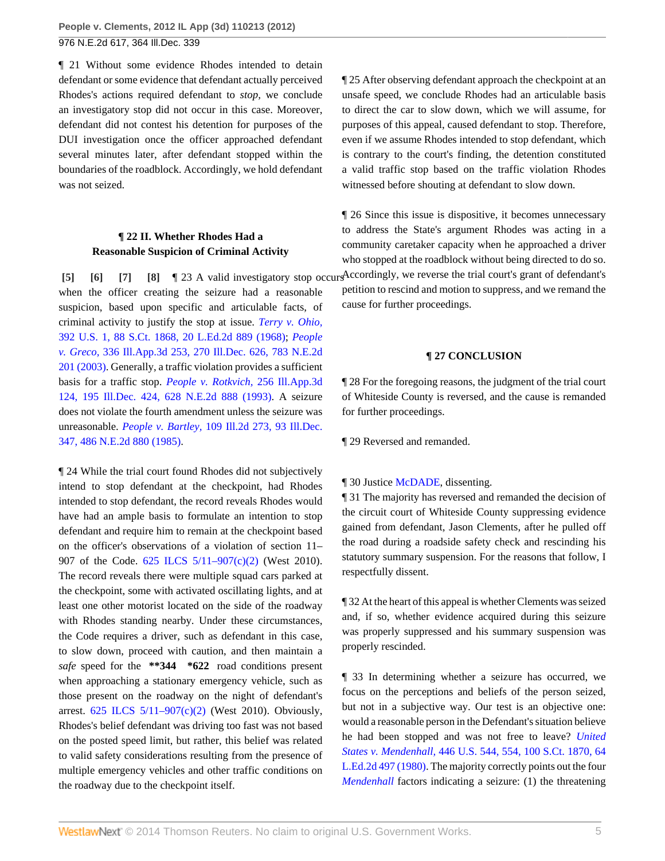976 N.E.2d 617, 364 Ill.Dec. 339

¶ 21 Without some evidence Rhodes intended to detain defendant or some evidence that defendant actually perceived Rhodes's actions required defendant to *stop,* we conclude an investigatory stop did not occur in this case. Moreover, defendant did not contest his detention for purposes of the DUI investigation once the officer approached defendant several minutes later, after defendant stopped within the boundaries of the roadblock. Accordingly, we hold defendant was not seized.

## <span id="page-4-3"></span><span id="page-4-2"></span><span id="page-4-1"></span>**¶ 22 II. Whether Rhodes Had a Reasonable Suspicion of Criminal Activity**

<span id="page-4-0"></span>**[\[5\]](#page-0-1) [\[6\]](#page-1-0) [\[7\]](#page-1-1) [\[8\]](#page-1-2) [8] 1** 23 A valid investigatory stop occur when the officer creating the seizure had a reasonable suspicion, based upon specific and articulable facts, of criminal activity to justify the stop at issue. *[Terry v. Ohio,](http://www.westlaw.com/Link/Document/FullText?findType=Y&serNum=1968131212&pubNum=708&originationContext=document&vr=3.0&rs=cblt1.0&transitionType=DocumentItem&contextData=(sc.Search))* [392 U.S. 1, 88 S.Ct. 1868, 20 L.Ed.2d 889 \(1968\);](http://www.westlaw.com/Link/Document/FullText?findType=Y&serNum=1968131212&pubNum=708&originationContext=document&vr=3.0&rs=cblt1.0&transitionType=DocumentItem&contextData=(sc.Search)) *[People](http://www.westlaw.com/Link/Document/FullText?findType=Y&serNum=2003096964&pubNum=578&originationContext=document&vr=3.0&rs=cblt1.0&transitionType=DocumentItem&contextData=(sc.Search)) v. Greco,* [336 Ill.App.3d 253, 270 Ill.Dec. 626, 783 N.E.2d](http://www.westlaw.com/Link/Document/FullText?findType=Y&serNum=2003096964&pubNum=578&originationContext=document&vr=3.0&rs=cblt1.0&transitionType=DocumentItem&contextData=(sc.Search)) [201 \(2003\).](http://www.westlaw.com/Link/Document/FullText?findType=Y&serNum=2003096964&pubNum=578&originationContext=document&vr=3.0&rs=cblt1.0&transitionType=DocumentItem&contextData=(sc.Search)) Generally, a traffic violation provides a sufficient basis for a traffic stop. *[People v. Rotkvich,](http://www.westlaw.com/Link/Document/FullText?findType=Y&serNum=1993243407&pubNum=578&originationContext=document&vr=3.0&rs=cblt1.0&transitionType=DocumentItem&contextData=(sc.Search))* 256 Ill.App.3d [124, 195 Ill.Dec. 424, 628 N.E.2d 888 \(1993\)](http://www.westlaw.com/Link/Document/FullText?findType=Y&serNum=1993243407&pubNum=578&originationContext=document&vr=3.0&rs=cblt1.0&transitionType=DocumentItem&contextData=(sc.Search)). A seizure does not violate the fourth amendment unless the seizure was unreasonable. *People v. Bartley,* [109 Ill.2d 273, 93 Ill.Dec.](http://www.westlaw.com/Link/Document/FullText?findType=Y&serNum=1985158231&pubNum=578&originationContext=document&vr=3.0&rs=cblt1.0&transitionType=DocumentItem&contextData=(sc.Search)) [347, 486 N.E.2d 880 \(1985\)](http://www.westlaw.com/Link/Document/FullText?findType=Y&serNum=1985158231&pubNum=578&originationContext=document&vr=3.0&rs=cblt1.0&transitionType=DocumentItem&contextData=(sc.Search)).

¶ 24 While the trial court found Rhodes did not subjectively intend to stop defendant at the checkpoint, had Rhodes intended to stop defendant, the record reveals Rhodes would have had an ample basis to formulate an intention to stop defendant and require him to remain at the checkpoint based on the officer's observations of a violation of section 11– 907 of the Code. [625 ILCS 5/11–907\(c\)\(2\)](http://www.westlaw.com/Link/Document/FullText?findType=L&pubNum=1000008&cite=IL625S5%2f11-907&originatingDoc=I8e5550aef79111e1b66bbd5332e2d275&refType=SP&originationContext=document&vr=3.0&rs=cblt1.0&transitionType=DocumentItem&contextData=(sc.Search)#co_pp_fcf30000ea9c4) (West 2010). The record reveals there were multiple squad cars parked at the checkpoint, some with activated oscillating lights, and at least one other motorist located on the side of the roadway with Rhodes standing nearby. Under these circumstances, the Code requires a driver, such as defendant in this case, to slow down, proceed with caution, and then maintain a *safe* speed for the **\*\*344 \*622** road conditions present when approaching a stationary emergency vehicle, such as those present on the roadway on the night of defendant's arrest. [625 ILCS 5/11–907\(c\)\(2\)](http://www.westlaw.com/Link/Document/FullText?findType=L&pubNum=1000008&cite=IL625S5%2f11-907&originatingDoc=I8e5550aef79111e1b66bbd5332e2d275&refType=SP&originationContext=document&vr=3.0&rs=cblt1.0&transitionType=DocumentItem&contextData=(sc.Search)#co_pp_fcf30000ea9c4) (West 2010). Obviously, Rhodes's belief defendant was driving too fast was not based on the posted speed limit, but rather, this belief was related to valid safety considerations resulting from the presence of multiple emergency vehicles and other traffic conditions on the roadway due to the checkpoint itself.

¶ 25 After observing defendant approach the checkpoint at an unsafe speed, we conclude Rhodes had an articulable basis to direct the car to slow down, which we will assume, for purposes of this appeal, caused defendant to stop. Therefore, even if we assume Rhodes intended to stop defendant, which is contrary to the court's finding, the detention constituted a valid traffic stop based on the traffic violation Rhodes witnessed before shouting at defendant to slow down.

¶ 26 Since this issue is dispositive, it becomes unnecessary to address the State's argument Rhodes was acting in a community caretaker capacity when he approached a driver who stopped at the roadblock without being directed to do so.

Accordingly, we reverse the trial court's grant of defendant's petition to rescind and motion to suppress, and we remand the cause for further proceedings.

#### **¶ 27 CONCLUSION**

¶ 28 For the foregoing reasons, the judgment of the trial court of Whiteside County is reversed, and the cause is remanded for further proceedings.

¶ 29 Reversed and remanded.

#### ¶ 30 Justice [McDADE](http://www.westlaw.com/Link/Document/FullText?findType=h&pubNum=176284&cite=0196972601&originatingDoc=I8e5550aef79111e1b66bbd5332e2d275&refType=RQ&originationContext=document&vr=3.0&rs=cblt1.0&transitionType=DocumentItem&contextData=(sc.Search)), dissenting.

¶ 31 The majority has reversed and remanded the decision of the circuit court of Whiteside County suppressing evidence gained from defendant, Jason Clements, after he pulled off the road during a roadside safety check and rescinding his statutory summary suspension. For the reasons that follow, I respectfully dissent.

¶ 32 At the heart of this appeal is whether Clements was seized and, if so, whether evidence acquired during this seizure was properly suppressed and his summary suspension was properly rescinded.

¶ 33 In determining whether a seizure has occurred, we focus on the perceptions and beliefs of the person seized, but not in a subjective way. Our test is an objective one: would a reasonable person in the Defendant's situation believe he had been stopped and was not free to leave? *[United](http://www.westlaw.com/Link/Document/FullText?findType=Y&serNum=1980116749&pubNum=708&originationContext=document&vr=3.0&rs=cblt1.0&transitionType=DocumentItem&contextData=(sc.Search)) States v. Mendenhall,* [446 U.S. 544, 554, 100 S.Ct. 1870, 64](http://www.westlaw.com/Link/Document/FullText?findType=Y&serNum=1980116749&pubNum=708&originationContext=document&vr=3.0&rs=cblt1.0&transitionType=DocumentItem&contextData=(sc.Search)) [L.Ed.2d 497 \(1980\)](http://www.westlaw.com/Link/Document/FullText?findType=Y&serNum=1980116749&pubNum=708&originationContext=document&vr=3.0&rs=cblt1.0&transitionType=DocumentItem&contextData=(sc.Search)). The majority correctly points out the four *[Mendenhall](http://www.westlaw.com/Link/Document/FullText?findType=Y&serNum=1980116749&originationContext=document&vr=3.0&rs=cblt1.0&transitionType=DocumentItem&contextData=(sc.Search))* factors indicating a seizure: (1) the threatening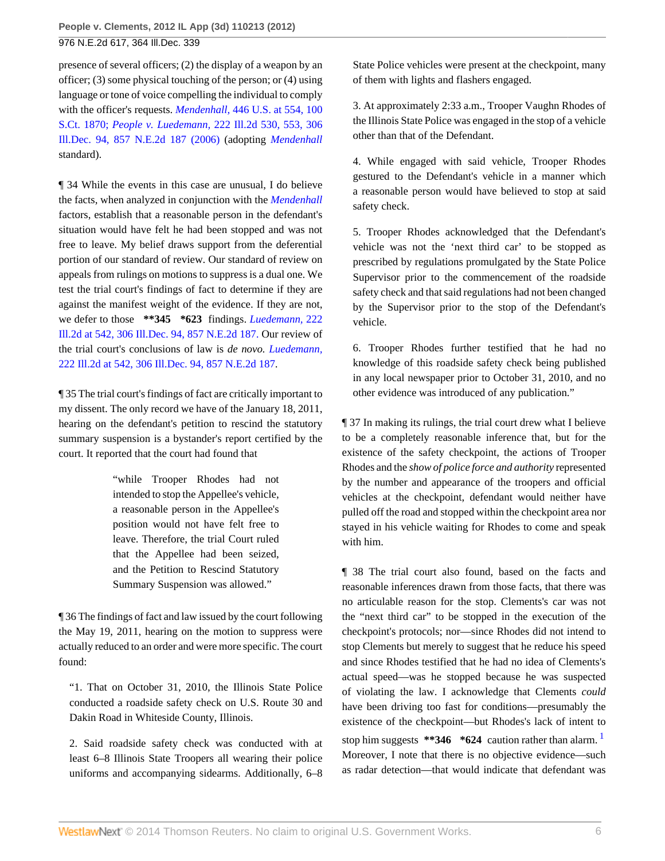presence of several officers; (2) the display of a weapon by an officer; (3) some physical touching of the person; or (4) using language or tone of voice compelling the individual to comply with the officer's requests. *Mendenhall,* [446 U.S. at 554, 100](http://www.westlaw.com/Link/Document/FullText?findType=Y&serNum=1980116749&pubNum=708&originationContext=document&vr=3.0&rs=cblt1.0&transitionType=DocumentItem&contextData=(sc.Search)) [S.Ct. 1870;](http://www.westlaw.com/Link/Document/FullText?findType=Y&serNum=1980116749&pubNum=708&originationContext=document&vr=3.0&rs=cblt1.0&transitionType=DocumentItem&contextData=(sc.Search)) *People v. Luedemann,* [222 Ill.2d 530, 553, 306](http://www.westlaw.com/Link/Document/FullText?findType=Y&serNum=2010406877&pubNum=578&originationContext=document&vr=3.0&rs=cblt1.0&transitionType=DocumentItem&contextData=(sc.Search)) [Ill.Dec. 94, 857 N.E.2d 187 \(2006\)](http://www.westlaw.com/Link/Document/FullText?findType=Y&serNum=2010406877&pubNum=578&originationContext=document&vr=3.0&rs=cblt1.0&transitionType=DocumentItem&contextData=(sc.Search)) (adopting *[Mendenhall](http://www.westlaw.com/Link/Document/FullText?findType=Y&serNum=1980116749&originationContext=document&vr=3.0&rs=cblt1.0&transitionType=DocumentItem&contextData=(sc.Search))* standard).

¶ 34 While the events in this case are unusual, I do believe the facts, when analyzed in conjunction with the *[Mendenhall](http://www.westlaw.com/Link/Document/FullText?findType=Y&serNum=1980116749&originationContext=document&vr=3.0&rs=cblt1.0&transitionType=DocumentItem&contextData=(sc.Search))* factors, establish that a reasonable person in the defendant's situation would have felt he had been stopped and was not free to leave. My belief draws support from the deferential portion of our standard of review. Our standard of review on appeals from rulings on motions to suppress is a dual one. We test the trial court's findings of fact to determine if they are against the manifest weight of the evidence. If they are not, we defer to those **\*\*345 \*623** findings. *[Luedemann,](http://www.westlaw.com/Link/Document/FullText?findType=Y&serNum=2010406877&pubNum=578&originationContext=document&vr=3.0&rs=cblt1.0&transitionType=DocumentItem&contextData=(sc.Search))* 222 [Ill.2d at 542, 306 Ill.Dec. 94, 857 N.E.2d 187.](http://www.westlaw.com/Link/Document/FullText?findType=Y&serNum=2010406877&pubNum=578&originationContext=document&vr=3.0&rs=cblt1.0&transitionType=DocumentItem&contextData=(sc.Search)) Our review of the trial court's conclusions of law is *de novo. [Luedemann,](http://www.westlaw.com/Link/Document/FullText?findType=Y&serNum=2010406877&pubNum=578&originationContext=document&vr=3.0&rs=cblt1.0&transitionType=DocumentItem&contextData=(sc.Search))* [222 Ill.2d at 542, 306 Ill.Dec. 94, 857 N.E.2d 187](http://www.westlaw.com/Link/Document/FullText?findType=Y&serNum=2010406877&pubNum=578&originationContext=document&vr=3.0&rs=cblt1.0&transitionType=DocumentItem&contextData=(sc.Search)).

¶ 35 The trial court's findings of fact are critically important to my dissent. The only record we have of the January 18, 2011, hearing on the defendant's petition to rescind the statutory summary suspension is a bystander's report certified by the court. It reported that the court had found that

> "while Trooper Rhodes had not intended to stop the Appellee's vehicle, a reasonable person in the Appellee's position would not have felt free to leave. Therefore, the trial Court ruled that the Appellee had been seized, and the Petition to Rescind Statutory Summary Suspension was allowed."

¶ 36 The findings of fact and law issued by the court following the May 19, 2011, hearing on the motion to suppress were actually reduced to an order and were more specific. The court found:

"1. That on October 31, 2010, the Illinois State Police conducted a roadside safety check on U.S. Route 30 and Dakin Road in Whiteside County, Illinois.

2. Said roadside safety check was conducted with at least 6–8 Illinois State Troopers all wearing their police uniforms and accompanying sidearms. Additionally, 6–8 State Police vehicles were present at the checkpoint, many of them with lights and flashers engaged.

3. At approximately 2:33 a.m., Trooper Vaughn Rhodes of the Illinois State Police was engaged in the stop of a vehicle other than that of the Defendant.

4. While engaged with said vehicle, Trooper Rhodes gestured to the Defendant's vehicle in a manner which a reasonable person would have believed to stop at said safety check.

5. Trooper Rhodes acknowledged that the Defendant's vehicle was not the 'next third car' to be stopped as prescribed by regulations promulgated by the State Police Supervisor prior to the commencement of the roadside safety check and that said regulations had not been changed by the Supervisor prior to the stop of the Defendant's vehicle.

6. Trooper Rhodes further testified that he had no knowledge of this roadside safety check being published in any local newspaper prior to October 31, 2010, and no other evidence was introduced of any publication."

¶ 37 In making its rulings, the trial court drew what I believe to be a completely reasonable inference that, but for the existence of the safety checkpoint, the actions of Trooper Rhodes and the *show of police force and authority* represented by the number and appearance of the troopers and official vehicles at the checkpoint, defendant would neither have pulled off the road and stopped within the checkpoint area nor stayed in his vehicle waiting for Rhodes to come and speak with him.

<span id="page-5-0"></span>¶ 38 The trial court also found, based on the facts and reasonable inferences drawn from those facts, that there was no articulable reason for the stop. Clements's car was not the "next third car" to be stopped in the execution of the checkpoint's protocols; nor—since Rhodes did not intend to stop Clements but merely to suggest that he reduce his speed and since Rhodes testified that he had no idea of Clements's actual speed—was he stopped because he was suspected of violating the law. I acknowledge that Clements *could* have been driving too fast for conditions—presumably the existence of the checkpoint—but Rhodes's lack of intent to stop him suggests \*\***346** \*624 caution rather than alarm. Moreover, I note that there is no objective evidence—such as radar detection—that would indicate that defendant was